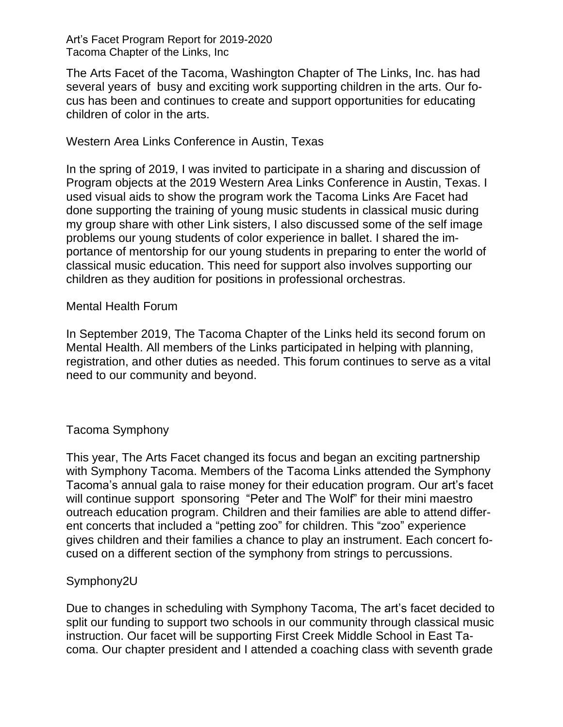#### Art's Facet Program Report for 2019-2020 Tacoma Chapter of the Links, Inc

The Arts Facet of the Tacoma, Washington Chapter of The Links, Inc. has had several years of busy and exciting work supporting children in the arts. Our focus has been and continues to create and support opportunities for educating children of color in the arts.

## Western Area Links Conference in Austin, Texas

In the spring of 2019, I was invited to participate in a sharing and discussion of Program objects at the 2019 Western Area Links Conference in Austin, Texas. I used visual aids to show the program work the Tacoma Links Are Facet had done supporting the training of young music students in classical music during my group share with other Link sisters, I also discussed some of the self image problems our young students of color experience in ballet. I shared the importance of mentorship for our young students in preparing to enter the world of classical music education. This need for support also involves supporting our children as they audition for positions in professional orchestras.

## Mental Health Forum

In September 2019, The Tacoma Chapter of the Links held its second forum on Mental Health. All members of the Links participated in helping with planning, registration, and other duties as needed. This forum continues to serve as a vital need to our community and beyond.

# Tacoma Symphony

This year, The Arts Facet changed its focus and began an exciting partnership with Symphony Tacoma. Members of the Tacoma Links attended the Symphony Tacoma's annual gala to raise money for their education program. Our art's facet will continue support sponsoring "Peter and The Wolf" for their mini maestro outreach education program. Children and their families are able to attend different concerts that included a "petting zoo" for children. This "zoo" experience gives children and their families a chance to play an instrument. Each concert focused on a different section of the symphony from strings to percussions.

# Symphony2U

Due to changes in scheduling with Symphony Tacoma, The art's facet decided to split our funding to support two schools in our community through classical music instruction. Our facet will be supporting First Creek Middle School in East Tacoma. Our chapter president and I attended a coaching class with seventh grade